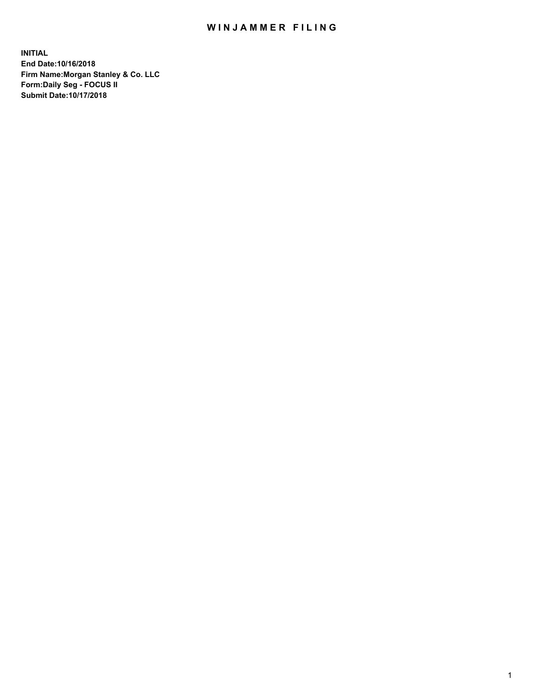## WIN JAMMER FILING

**INITIAL End Date:10/16/2018 Firm Name:Morgan Stanley & Co. LLC Form:Daily Seg - FOCUS II Submit Date:10/17/2018**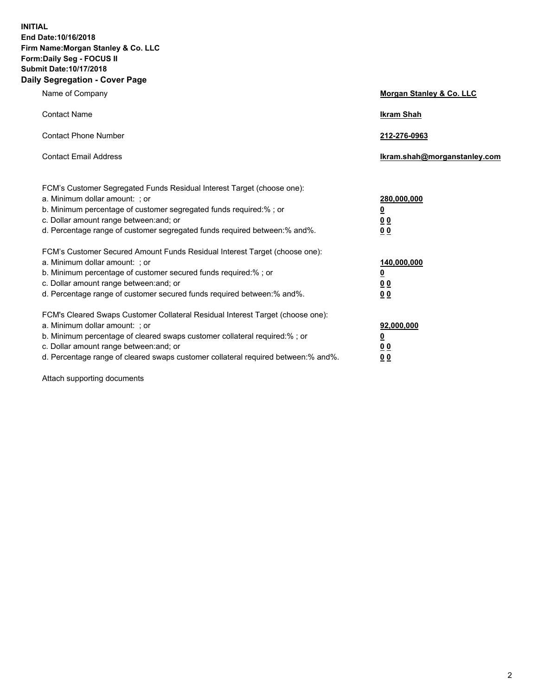**INITIAL End Date:10/16/2018 Firm Name:Morgan Stanley & Co. LLC Form:Daily Seg - FOCUS II Submit Date:10/17/2018 Daily Segregation - Cover Page**

| Name of Company                                                                                                                                                                                                                                                                                                                | Morgan Stanley & Co. LLC                                    |
|--------------------------------------------------------------------------------------------------------------------------------------------------------------------------------------------------------------------------------------------------------------------------------------------------------------------------------|-------------------------------------------------------------|
| <b>Contact Name</b>                                                                                                                                                                                                                                                                                                            | <b>Ikram Shah</b>                                           |
| <b>Contact Phone Number</b>                                                                                                                                                                                                                                                                                                    | 212-276-0963                                                |
| <b>Contact Email Address</b>                                                                                                                                                                                                                                                                                                   | Ikram.shah@morganstanley.com                                |
| FCM's Customer Segregated Funds Residual Interest Target (choose one):<br>a. Minimum dollar amount: ; or<br>b. Minimum percentage of customer segregated funds required:% ; or<br>c. Dollar amount range between: and; or<br>d. Percentage range of customer segregated funds required between: % and %.                       | 280,000,000<br><u>0</u><br>00<br>00                         |
| FCM's Customer Secured Amount Funds Residual Interest Target (choose one):<br>a. Minimum dollar amount: ; or<br>b. Minimum percentage of customer secured funds required:%; or<br>c. Dollar amount range between: and; or<br>d. Percentage range of customer secured funds required between:% and%.                            | 140,000,000<br><u>0</u><br>0 <sub>0</sub><br>0 <sub>0</sub> |
| FCM's Cleared Swaps Customer Collateral Residual Interest Target (choose one):<br>a. Minimum dollar amount: ; or<br>b. Minimum percentage of cleared swaps customer collateral required:% ; or<br>c. Dollar amount range between: and; or<br>d. Percentage range of cleared swaps customer collateral required between:% and%. | 92,000,000<br><u>0</u><br><u>00</u><br>0 <sub>0</sub>       |

Attach supporting documents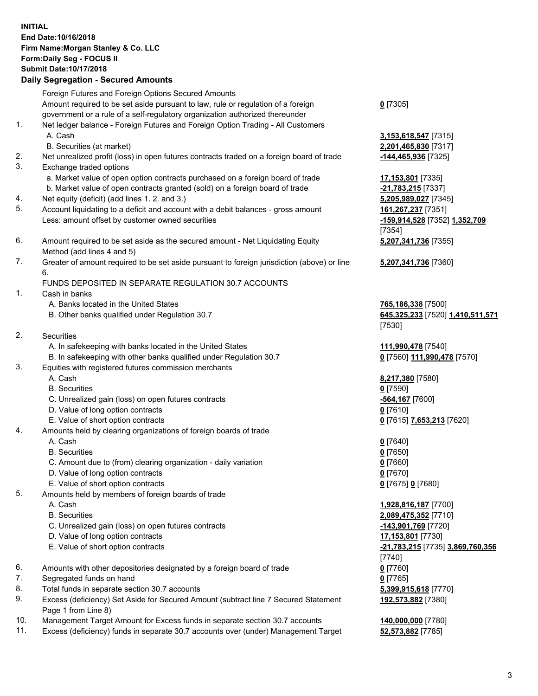## **INITIAL End Date:10/16/2018 Firm Name:Morgan Stanley & Co. LLC Form:Daily Seg - FOCUS II Submit Date:10/17/2018**

## **Daily Segregation - Secured Amounts**

Foreign Futures and Foreign Options Secured Amounts Amount required to be set aside pursuant to law, rule or regulation of a foreign government or a rule of a self-regulatory organization authorized thereunder 1. Net ledger balance - Foreign Futures and Foreign Option Trading - All Customers A. Cash **3,153,618,547** [7315] B. Securities (at market) **2,201,465,830** [7317] 2. Net unrealized profit (loss) in open futures contracts traded on a foreign board of trade **-144,465,936** [7325] 3. Exchange traded options a. Market value of open option contracts purchased on a foreign board of trade **17,153,801** [7335] b. Market value of open contracts granted (sold) on a foreign board of trade **-21,783,215** [7337] 4. Net equity (deficit) (add lines 1. 2. and 3.) **5,205,989,027** [7345] 5. Account liquidating to a deficit and account with a debit balances - gross amount **161,267,237** [7351] Less: amount offset by customer owned securities **-159,914,528** [7352] **1,352,709** 6. Amount required to be set aside as the secured amount - Net Liquidating Equity Method (add lines 4 and 5) 7. Greater of amount required to be set aside pursuant to foreign jurisdiction (above) or line 6. FUNDS DEPOSITED IN SEPARATE REGULATION 30.7 ACCOUNTS 1. Cash in banks A. Banks located in the United States **765,186,338** [7500] B. Other banks qualified under Regulation 30.7 **645,325,233** [7520] **1,410,511,571** 2. Securities A. In safekeeping with banks located in the United States **111,990,478** [7540] B. In safekeeping with other banks qualified under Regulation 30.7 **0** [7560] **111,990,478** [7570] 3. Equities with registered futures commission merchants A. Cash **8,217,380** [7580] B. Securities **0** [7590] C. Unrealized gain (loss) on open futures contracts **-564,167** [7600] D. Value of long option contracts **0** [7610]

- 
- 4. Amounts held by clearing organizations of foreign boards of trade
	-
	- B. Securities **0** [7650]
	- C. Amount due to (from) clearing organization daily variation **0** [7660]
	- D. Value of long option contracts **0** [7670]
	- E. Value of short option contracts **0** [7675] **0** [7680]
- 5. Amounts held by members of foreign boards of trade
	-
	-
	- C. Unrealized gain (loss) on open futures contracts **-143,901,769** [7720]
	- D. Value of long option contracts **17,153,801** [7730]
	- E. Value of short option contracts **-21,783,215** [7735] **3,869,760,356**
- 6. Amounts with other depositories designated by a foreign board of trade **0** [7760]
- 7. Segregated funds on hand **0** [7765]
- 8. Total funds in separate section 30.7 accounts **5,399,915,618** [7770]
- 9. Excess (deficiency) Set Aside for Secured Amount (subtract line 7 Secured Statement Page 1 from Line 8)
- 10. Management Target Amount for Excess funds in separate section 30.7 accounts **140,000,000** [7780]
- 11. Excess (deficiency) funds in separate 30.7 accounts over (under) Management Target **52,573,882** [7785]

**0** [7305]

[7354] **5,207,341,736** [7355]

**5,207,341,736** [7360]

[7530]

E. Value of short option contracts **0** [7615] **7,653,213** [7620]

A. Cash **0** [7640]

 A. Cash **1,928,816,187** [7700] B. Securities **2,089,475,352** [7710] [7740] **192,573,882** [7380]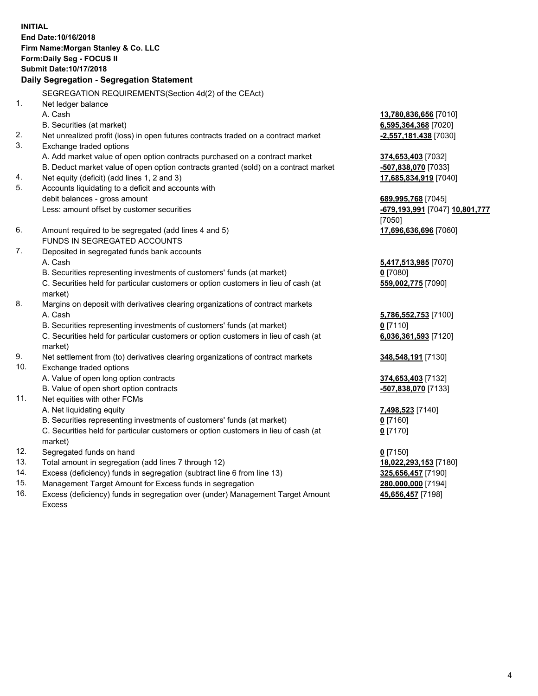**INITIAL End Date:10/16/2018 Firm Name:Morgan Stanley & Co. LLC Form:Daily Seg - FOCUS II Submit Date:10/17/2018 Daily Segregation - Segregation Statement** SEGREGATION REQUIREMENTS(Section 4d(2) of the CEAct) 1. Net ledger balance A. Cash **13,780,836,656** [7010] B. Securities (at market) **6,595,364,368** [7020] 2. Net unrealized profit (loss) in open futures contracts traded on a contract market **-2,557,181,438** [7030] 3. Exchange traded options A. Add market value of open option contracts purchased on a contract market **374,653,403** [7032] B. Deduct market value of open option contracts granted (sold) on a contract market **-507,838,070** [7033] 4. Net equity (deficit) (add lines 1, 2 and 3) **17,685,834,919** [7040] 5. Accounts liquidating to a deficit and accounts with debit balances - gross amount **689,995,768** [7045] Less: amount offset by customer securities **-679,193,991** [7047] **10,801,777** [7050] 6. Amount required to be segregated (add lines 4 and 5) **17,696,636,696** [7060] FUNDS IN SEGREGATED ACCOUNTS 7. Deposited in segregated funds bank accounts A. Cash **5,417,513,985** [7070] B. Securities representing investments of customers' funds (at market) **0** [7080] C. Securities held for particular customers or option customers in lieu of cash (at market) **559,002,775** [7090] 8. Margins on deposit with derivatives clearing organizations of contract markets A. Cash **5,786,552,753** [7100] B. Securities representing investments of customers' funds (at market) **0** [7110] C. Securities held for particular customers or option customers in lieu of cash (at market) **6,036,361,593** [7120] 9. Net settlement from (to) derivatives clearing organizations of contract markets **348,548,191** [7130] 10. Exchange traded options A. Value of open long option contracts **374,653,403** [7132] B. Value of open short option contracts **-507,838,070** [7133] 11. Net equities with other FCMs A. Net liquidating equity **7,498,523** [7140] B. Securities representing investments of customers' funds (at market) **0** [7160] C. Securities held for particular customers or option customers in lieu of cash (at market) **0** [7170] 12. Segregated funds on hand **0** [7150] 13. Total amount in segregation (add lines 7 through 12) **18,022,293,153** [7180] 14. Excess (deficiency) funds in segregation (subtract line 6 from line 13) **325,656,457** [7190]

- 15. Management Target Amount for Excess funds in segregation **280,000,000** [7194]
- 16. Excess (deficiency) funds in segregation over (under) Management Target Amount Excess

**45,656,457** [7198]